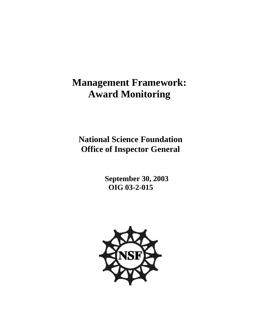# **Management Framework: Award Monitoring**

 **National Science Foundation Office of Inspector General**

> **September 30, 2003 OIG 03-2-015**

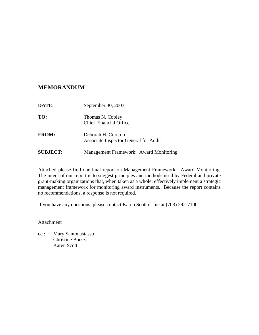## **MEMORANDUM**

| <b>DATE:</b>    | September 30, 2003                                          |
|-----------------|-------------------------------------------------------------|
| TO:             | Thomas N. Cooley<br><b>Chief Financial Officer</b>          |
| <b>FROM:</b>    | Deborah H. Cureton<br>Associate Inspector General for Audit |
| <b>SUBJECT:</b> | Management Framework: Award Monitoring                      |

Attached please find our final report on Management Framework: Award Monitoring. The intent of our report is to suggest principles and methods used by Federal and private grant-making organizations that, when taken as a whole, effectively implement a strategic management framework for monitoring award instruments. Because the report contains no recommendations, a response is not required.

If you have any questions, please contact Karen Scott or me at (703) 292-7100.

Attachment

cc : Mary Santonastasso Christine Boesz Karen Scott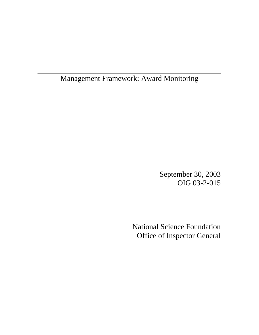Management Framework: Award Monitoring

September 30, 2003 OIG 03-2-015

National Science Foundation Office of Inspector General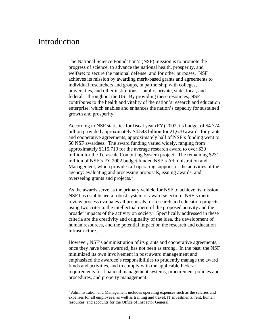## Introduction

The National Science Foundation's (NSF) mission is to promote the progress of science; to advance the national health, prosperity, and welfare; to secure the national defense; and for other purposes. NSF achieves its mission by awarding merit-based grants and agreements to individual researchers and groups, in partnership with colleges, universities, and other institutions – public, private, state, local, and federal – throughout the US. By providing these resources, NSF contributes to the health and vitality of the nation's research and education enterprise, which enables and enhances the nation's capacity for sustained growth and prosperity.

According to NSF statistics for fiscal year (FY) 2002, its budget of \$4.774 billion provided approximately \$4.543 billion for 21,670 awards for grants and cooperative agreements; approximately half of NSF's funding went to 50 NSF awardees. The award funding varied widely, ranging from approximately \$115,710 for the average research award to over \$30 million for the Terascale Computing System project. The remaining \$231 million of NSF's FY 2002 budget funded NSF's Administration and Management, which provides all operating support for the activities of the agency: evaluating and processing proposals, issuing awards, and overseeing grants and projects.<sup>1</sup>

As the awards serve as the primary vehicle for NSF to achieve its mission, NSF has established a robust system of award selection. NSF's merit review process evaluates all proposals for research and education projects using two criteria: the intellectual merit of the proposed activity and the broader impacts of the activity on society. Specifically addressed in these criteria are the creativity and originality of the idea, the development of human resources, and the potential impact on the research and education infrastructure.

However, NSF's administration of its grants and cooperative agreements, once they have been awarded, has not been as strong. In the past, the NSF minimized its own involvement in post award management and emphasized the awardee's responsibilities to prudently manage the award funds and activities, and to comply with the applicable Federal requirements for financial management systems, procurement policies and procedures, and property management.

<sup>&</sup>lt;u>1</u> <sup>1</sup> Administration and Management includes operating expenses such as the salaries and expenses for all employees, as well as training and travel, IT investments, rent, human resources, and accounts for the Office of Inspector General.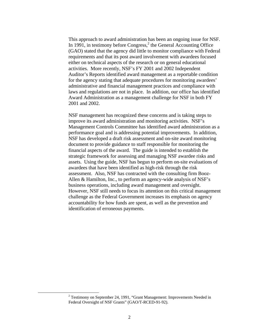This approach to award administration has been an ongoing issue for NSF. In 1991, in testimony before Congress, $<sup>2</sup>$  the General Accounting Office</sup> (GAO) stated that the agency did little to monitor compliance with Federal requirements and that its post award involvement with awardees focused either on technical aspects of the research or on general educational activities. More recently, NSF's FY 2001 and 2002 Independent Auditor's Reports identified award management as a reportable condition for the agency stating that adequate procedures for monitoring awardees' administrative and financial management practices and compliance with laws and regulations are not in place. In addition, our office has identified Award Administration as a management challenge for NSF in both FY 2001 and 2002.

NSF management has recognized these concerns and is taking steps to improve its award administration and monitoring activities. NSF's Management Controls Committee has identified award administration as a performance goal and is addressing potential improvements. In addition, NSF has developed a draft risk assessment and on-site award monitoring document to provide guidance to staff responsible for monitoring the financial aspects of the award. The guide is intended to establish the strategic framework for assessing and managing NSF awardee risks and assets. Using the guide, NSF has begun to perform on-site evaluations of awardees that have been identified as high-risk through the risk assessment. Also, NSF has contracted with the consulting firm Booz-Allen & Hamilton, Inc., to perform an agency-wide analysis of NSF's business operations, including award management and oversight. However, NSF still needs to focus its attention on this critical management challenge as the Federal Government increases its emphasis on agency accountability for how funds are spent, as well as the prevention and identification of erroneous payments.

<sup>2</sup>  $2$  Testimony on September 24, 1991, "Grant Management: Improvements Needed in Federal Oversight of NSF Grants" (GAO/T-RCED-91-92).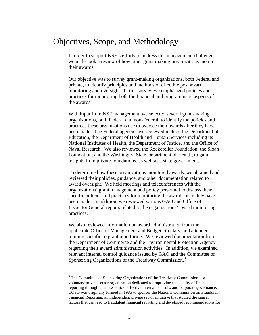## Objectives, Scope, and Methodology

In order to support NSF's efforts to address this management challenge, we undertook a review of how other grant making organizations monitor their awards.

Our objective was to survey grant-making organizations, both Federal and private, to identify principles and methods of effective post award monitoring and oversight. In this survey, we emphasized policies and practices for monitoring both the financial and programmatic aspects of the awards.

With input from NSF management, we selected several grant-making organizations, both Federal and non-Federal, to identify the policies and practices these organizations use to oversee their awards after they have been made. The Federal agencies we reviewed include the Department of Education, the Department of Health and Human Services including its National Institutes of Health, the Department of Justice, and the Office of Naval Research. We also reviewed the Rockefeller Foundation, the Sloan Foundation, and the Washington State Department of Health, to gain insights from private foundations, as well as a state government.

To determine how these organizations monitored awards, we obtained and reviewed their policies, guidance, and other documentation related to award oversight. We held meetings and teleconferences with the organizations' grant management and policy personnel to discuss their specific policies and practices for monitoring the awards once they have been made. In addition, we reviewed various GAO and Office of Inspector General reports related to the organizations' award monitoring practices.

We also reviewed information on award administration from the applicable Office of Management and Budget circulars, and attended training specific to grant monitoring. We reviewed documentation from the Department of Commerce and the Environmental Protection Agency regarding their award administration activities. In addition, we examined relevant internal control guidance issued by GAO and the Committee of Sponsoring Organizations of the Treadway Commission.<sup>3</sup>

<sup>3</sup> <sup>3</sup> The Committee of Sponsoring Organizations of the Treadway Commission is a voluntary private sector organization dedicated to improving the quality of financial reporting through business ethics, effective internal controls, and corporate governance. COSO was originally formed in 1985 to sponsor the National Commission on Fraudulent Financial Reporting, an independent private sector initiative that studied the causal factors that can lead to fraudulent financial reporting and developed recommendations for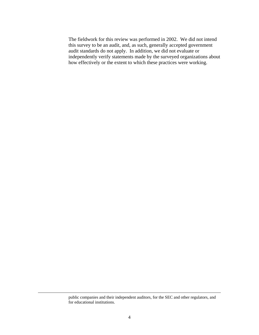The fieldwork for this review was performed in 2002. We did not intend this survey to be an audit, and, as such, generally accepted government audit standards do not apply. In addition, we did not evaluate or independently verify statements made by the surveyed organizations about how effectively or the extent to which these practices were working.

public companies and their independent auditors, for the SEC and other regulators, and for educational institutions.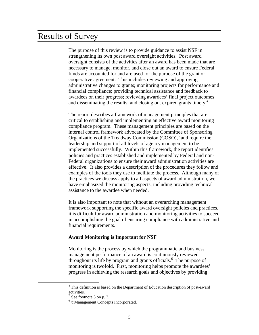## Results of Survey

The purpose of this review is to provide guidance to assist NSF in strengthening its own post award oversight activities. Post award oversight consists of the activities after an award has been made that are necessary to manage, monitor, and close out an award to ensure Federal funds are accounted for and are used for the purpose of the grant or cooperative agreement. This includes reviewing and approving administrative changes to grants; monitoring projects for performance and financial compliance; providing technical assistance and feedback to awardees on their progress; reviewing awardees' final project outcomes and disseminating the results; and closing out expired grants timely.<sup>4</sup>

The report describes a framework of management principles that are critical to establishing and implementing an effective award monitoring compliance program. These management principles are based on the internal control framework advocated by the Committee of Sponsoring Organizations of the Treadway Commission  $(COSO)$ ,<sup>5</sup> and require the leadership and support of all levels of agency management to be implemented successfully. Within this framework, the report identifies policies and practices established and implemented by Federal and non-Federal organizations to ensure their award administration activities are effective. It also provides a description of the procedures they follow and examples of the tools they use to facilitate the process. Although many of the practices we discuss apply to all aspects of award administration, we have emphasized the monitoring aspects, including providing technical assistance to the awardee when needed.

It is also important to note that without an overarching management framework supporting the specific award oversight policies and practices, it is difficult for award administration and monitoring activities to succeed in accomplishing the goal of ensuring compliance with administrative and financial requirements.

#### **Award Monitoring is Important for NSF**

Monitoring is the process by which the programmatic and business management performance of an award is continuously reviewed throughout its life by program and grants officials.<sup>6</sup> The purpose of monitoring is twofold. First, monitoring helps promote the awardees' progress in achieving the research goals and objectives by providing

<sup>4</sup> <sup>4</sup> This definition is based on the Department of Education description of post-award activities.

<sup>5</sup> See footnote 3 on p. 3.

<sup>6</sup> ©Management Concepts Incorporated.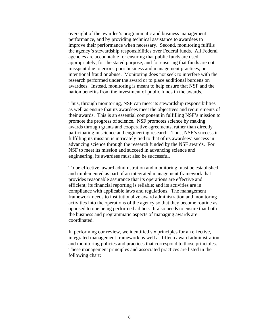oversight of the awardee's programmatic and business management performance, and by providing technical assistance to awardees to improve their performance when necessary. Second, monitoring fulfills the agency's stewardship responsibilities over Federal funds. All Federal agencies are accountable for ensuring that public funds are used appropriately, for the stated purpose, and for ensuring that funds are not misspent due to errors, poor business and management practices, or intentional fraud or abuse. Monitoring does not seek to interfere with the research performed under the award or to place additional burdens on awardees. Instead, monitoring is meant to help ensure that NSF and the nation benefits from the investment of public funds in the awards.

Thus, through monitoring, NSF can meet its stewardship responsibilities as well as ensure that its awardees meet the objectives and requirements of their awards. This is an essential component in fulfilling NSF's mission to promote the progress of science. NSF promotes science by making awards through grants and cooperative agreements, rather than directly participating in science and engineering research. Thus, NSF's success in fulfilling its mission is intricately tied to that of its awardees' success in advancing science through the research funded by the NSF awards. For NSF to meet its mission and succeed in advancing science and engineering, its awardees must also be successful.

To be effective, award administration and monitoring must be established and implemented as part of an integrated management framework that provides reasonable assurance that its operations are effective and efficient; its financial reporting is reliable; and its activities are in compliance with applicable laws and regulations. The management framework needs to institutionalize award administration and monitoring activities into the operations of the agency so that they become routine as opposed to one being performed ad hoc. It also needs to ensure that both the business and programmatic aspects of managing awards are coordinated.

In performing our review, we identified six principles for an effective, integrated management framework as well as fifteen award administration and monitoring policies and practices that correspond to those principles. These management principles and associated practices are listed in the following chart: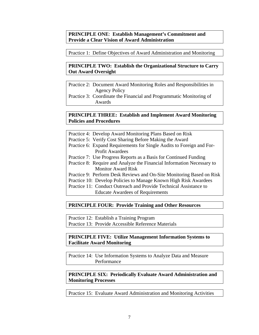**PRINCIPLE ONE**: **Establish Management's Commitment and Provide a Clear Vision of Award Administration** 

Practice 1: Define Objectives of Award Administration and Monitoring

## **PRINCIPLE TWO: Establish the Organizational Structure to Carry Out Award Oversight**

Practice 2: Document Award Monitoring Roles and Responsibilities in Agency Policy

Practice 3: Coordinate the Financial and Programmatic Monitoring of Awards

### **PRINCIPLE THREE: Establish and Implement Award Monitoring Policies and Procedures**

|                                                                   | Practice 4: Develop Award Monitoring Plans Based on Risk               |
|-------------------------------------------------------------------|------------------------------------------------------------------------|
|                                                                   | Practice 5: Verify Cost Sharing Before Making the Award                |
|                                                                   | Practice 6: Expand Requirements for Single Audits to Foreign and For-  |
|                                                                   | <b>Profit Awardees</b>                                                 |
|                                                                   | Practice 7: Use Progress Reports as a Basis for Continued Funding      |
|                                                                   | Practice 8: Require and Analyze the Financial Information Necessary to |
|                                                                   | <b>Monitor Award Risk</b>                                              |
|                                                                   | Practice 9: Perform Desk Reviews and On-Site Monitoring Based on Risk  |
| Practice 10: Develop Policies to Manage Known High Risk Awardees  |                                                                        |
| Practice 11: Conduct Outreach and Provide Technical Assistance to |                                                                        |
|                                                                   | <b>Educate Awardees of Requirements</b>                                |

## **PRINCIPLE FOUR: Provide Training and Other Resources**

Practice 12: Establish a Training Program

Practice 13: Provide Accessible Reference Materials

## **PRINCIPLE FIVE: Utilize Management Information Systems to Facilitate Award Monitoring**

Practice 14: Use Information Systems to Analyze Data and Measure Performance

## **PRINCIPLE SIX: Periodically Evaluate Award Administration and Monitoring Processes**

Practice 15: Evaluate Award Administration and Monitoring Activities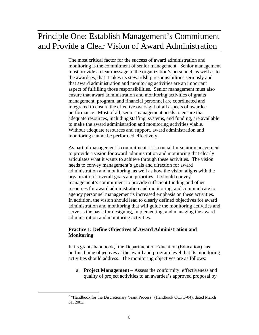## Principle One: Establish Management's Commitment and Provide a Clear Vision of Award Administration

The most critical factor for the success of award administration and monitoring is the commitment of senior management. Senior management must provide a clear message to the organization's personnel, as well as to the awardees, that it takes its stewardship responsibilities seriously and that award administration and monitoring activities are an important aspect of fulfilling those responsibilities. Senior management must also ensure that award administration and monitoring activities of grants management, program, and financial personnel are coordinated and integrated to ensure the effective oversight of all aspects of awardee performance. Most of all, senior management needs to ensure that adequate resources, including staffing, systems, and funding, are available to make the award administration and monitoring activities viable. Without adequate resources and support, award administration and monitoring cannot be performed effectively.

As part of management's commitment, it is crucial for senior management to provide a vision for award administration and monitoring that clearly articulates what it wants to achieve through these activities. The vision needs to convey management's goals and direction for award administration and monitoring, as well as how the vision aligns with the organization's overall goals and priorities. It should convey management's commitment to provide sufficient funding and other resources for award administration and monitoring, and communicate to agency personnel management's increased emphasis on these activities. In addition, the vision should lead to clearly defined objectives for award administration and monitoring that will guide the monitoring activities and serve as the basis for designing, implementing, and managing the award administration and monitoring activities.

## **Practice 1: Define Objectives of Award Administration and Monitoring**

In its grants handbook,<sup>7</sup> the Department of Education (Education) has outlined nine objectives at the award and program level that its monitoring activities should address. The monitoring objectives are as follows:

a. **Project Management** – Assess the conformity, effectiveness and quality of project activities to an awardee's approved proposal by

<sup>7</sup> <sup>7</sup> "Handbook for the Discretionary Grant Process" (Handbook OCFO-04), dated March 31, 2003.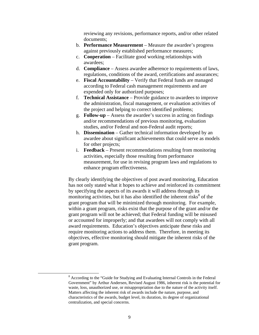reviewing any revisions, performance reports, and/or other related documents;

- b. **Performance Measurement** Measure the awardee's progress against previously established performance measures;
- c. **Cooperation** Facilitate good working relationships with awardees;
- d. **Compliance** Assess awardee adherence to requirements of laws, regulations, conditions of the award, certifications and assurances;
- e. **Fiscal Accountability** Verify that Federal funds are managed according to Federal cash management requirements and are expended only for authorized purposes;
- f. **Technical Assistance** Provide guidance to awardees to improve the administration, fiscal management, or evaluation activities of the project and helping to correct identified problems;
- g. **Follow-up** Assess the awardee's success in acting on findings and/or recommendations of previous monitoring, evaluation studies, and/or Federal and non-Federal audit reports;
- h. **Dissemination** Gather technical information developed by an awardee about significant achievements that could serve as models for other projects;
- i. **Feedback** Present recommendations resulting from monitoring activities, especially those resulting from performance measurement, for use in revising program laws and regulations to enhance program effectiveness.

By clearly identifying the objectives of post award monitoring, Education has not only stated what it hopes to achieve and reinforced its commitment by specifying the aspects of its awards it will address through its monitoring activities, but it has also identified the inherent risks $\delta$  of the grant program that will be minimized through monitoring. For example, within a grant program, risks exist that the purpose of the grant and/or the grant program will not be achieved; that Federal funding will be misused or accounted for improperly; and that awardees will not comply with all award requirements. Education's objectives anticipate these risks and require monitoring actions to address them. Therefore, in meeting its objectives, effective monitoring should mitigate the inherent risks of the grant program.

 $\overline{\phantom{a}}$  According to the "Guide for Studying and Evaluating Internal Controls in the Federal Government" by Arthur Andersen, Revised August 1986, inherent risk is the potential for waste, loss, unauthorized use, or misappropriation due to the nature of the activity itself. Matters affecting the inherent risk of awards include the nature, purpose, and characteristics of the awards, budget level, its duration, its degree of organizational centralization, and special concerns.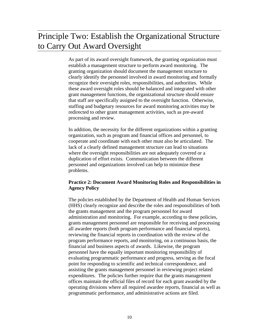## Principle Two: Establish the Organizational Structure to Carry Out Award Oversight

As part of its award oversight framework, the granting organization must establish a management structure to perform award monitoring. The granting organization should document the management structure to clearly identify the personnel involved in award monitoring and formally recognize their oversight roles, responsibilities, and authorities. While these award oversight roles should be balanced and integrated with other grant management functions, the organizational structure should ensure that staff are specifically assigned to the oversight function. Otherwise, staffing and budgetary resources for award monitoring activities may be redirected to other grant management activities, such as pre-award processing and review.

In addition, the necessity for the different organizations within a granting organization, such as program and financial offices and personnel, to cooperate and coordinate with each other must also be articulated. The lack of a clearly defined management structure can lead to situations where the oversight responsibilities are not adequately covered or a duplication of effort exists. Communication between the different personnel and organizations involved can help to minimize these problems.

## **Practice 2: Document Award Monitoring Roles and Responsibilities in Agency Policy**

The policies established by the Department of Health and Human Services (HHS) clearly recognize and describe the roles and responsibilities of both the grants management and the program personnel for award administration and monitoring. For example, according to these policies, grants management personnel are responsible for receiving and processing all awardee reports (both program performance and financial reports), reviewing the financial reports in coordination with the review of the program performance reports, and monitoring, on a continuous basis, the financial and business aspects of awards. Likewise, the program personnel have the equally important monitoring responsibility of evaluating programmatic performance and progress, serving as the focal point for responding to scientific and technical correspondence, and assisting the grants management personnel in reviewing project related expenditures. The policies further require that the grants management offices maintain the official files of record for each grant awarded by the operating divisions where all required awardee reports, financial as well as programmatic performance, and administrative actions are filed.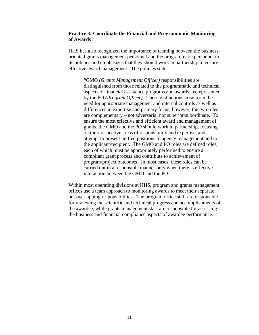### **Practice 3: Coordinate the Financial and Programmatic Monitoring of Awards**

HHS has also recognized the importance of teaming between the businessoriented grants management personnel and the programmatic personnel in its policies and emphasizes that they should work in partnership to ensure effective award management. The policies state:

> "GMO *(Grants Management Officer)* responsibilities are distinguished from those related to the programmatic and technical aspects of financial assistance programs and awards, as represented by the PO *(Program Officer)*. These distinctions arise from the need for appropriate management and internal controls as well as differences in expertise and primary focus; however, the two roles are complementary – not adversarial nor superior/subordinate. To ensure the most effective and efficient award and management of grants, the GMO and the PO should work in partnership, focusing on their respective areas of responsibility and expertise, and attempt to present unified positions to agency management and to the applicant/recipient. The GMO and PO roles are defined roles, each of which must be appropriately performed to ensure a compliant grant process and contribute to achievement of program/project outcomes. In most cases, these roles can be carried out in a responsible manner only when there is effective interaction between the GMO and the PO."

Within most operating divisions at HHS, program and grants management offices use a team approach to monitoring awards to meet their separate, but overlapping responsibilities. The program office staff are responsible for reviewing the scientific and technical progress and accomplishments of the awardee, while grants management staff are responsible for assessing the business and financial compliance aspects of awardee performance.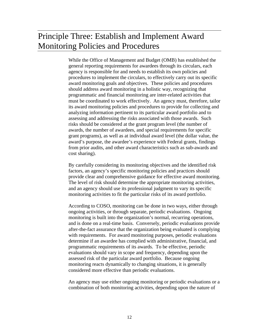## Principle Three: Establish and Implement Award Monitoring Policies and Procedures

While the Office of Management and Budget (OMB) has established the general reporting requirements for awardees through its circulars, each agency is responsible for and needs to establish its own policies and procedures to implement the circulars, to effectively carry out its specific award monitoring goals and objectives. These policies and procedures should address award monitoring in a holistic way, recognizing that programmatic and financial monitoring are inter-related activities that must be coordinated to work effectively. An agency must, therefore, tailor its award monitoring policies and procedures to provide for collecting and analyzing information pertinent to its particular award portfolio and to assessing and addressing the risks associated with those awards. Such risks should be considered at the grant program level (the number of awards, the number of awardees, and special requirements for specific grant programs), as well as at individual award level (the dollar value, the award's purpose, the awardee's experience with Federal grants, findings from prior audits, and other award characteristics such as sub-awards and cost sharing).

By carefully considering its monitoring objectives and the identified risk factors, an agency's specific monitoring policies and practices should provide clear and comprehensive guidance for effective award monitoring. The level of risk should determine the appropriate monitoring activities, and an agency should use its professional judgment to vary its specific monitoring activities to fit the particular risks of its award portfolio.

According to COSO, monitoring can be done in two ways, either through ongoing activities, or through separate, periodic evaluations. Ongoing monitoring is built into the organization's normal, recurring operations, and is done on a real-time basis. Conversely, periodic evaluations provide after-the-fact assurance that the organization being evaluated is complying with requirements. For award monitoring purposes, periodic evaluations determine if an awardee has complied with administrative, financial, and programmatic requirements of its awards. To be effective, periodic evaluations should vary in scope and frequency, depending upon the assessed risk of the particular award portfolio. Because ongoing monitoring reacts dynamically to changing situations, it is generally considered more effective than periodic evaluations.

An agency may use either ongoing monitoring or periodic evaluations or a combination of both monitoring activities, depending upon the nature of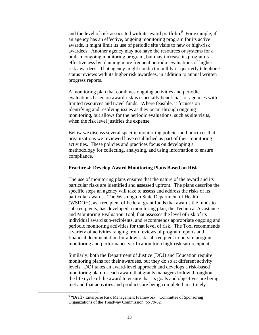and the level of risk associated with its award portfolio. $9$  For example, if an agency has an effective, ongoing monitoring program for its active awards, it might limit its use of periodic site visits to new or high-risk awardees. Another agency may not have the resources or systems for a built-in ongoing monitoring program, but may increase its program's effectiveness by planning more frequent periodic evaluations of higher risk awardees. That agency might conduct monthly or quarterly telephone status reviews with its higher risk awardees, in addition to annual written progress reports.

A monitoring plan that combines ongoing activities and periodic evaluations based on award risk is especially beneficial for agencies with limited resources and travel funds. Where feasible, it focuses on identifying and resolving issues as they occur through ongoing monitoring, but allows for the periodic evaluations, such as site visits, when the risk level justifies the expense.

Below we discuss several specific monitoring policies and practices that organizations we reviewed have established as part of their monitoring activities. These policies and practices focus on developing a methodology for collecting, analyzing, and using information to ensure compliance.

#### **Practice 4: Develop Award Monitoring Plans Based on Risk**

The use of monitoring plans ensures that the nature of the award and its particular risks are identified and assessed upfront. The plans describe the specific steps an agency will take to assess and address the risks of its particular awards. The Washington State Department of Health (WSDOH), as a recipient of Federal grant funds that awards the funds to sub-recipients, has developed a monitoring plan, the Technical Assistance and Monitoring Evaluation Tool, that assesses the level of risk of its individual award sub-recipients, and recommends appropriate ongoing and periodic monitoring activities for that level of risk. The Tool recommends a variety of activities ranging from reviews of program reports and financial documentation for a low risk sub-recipient to on-site program monitoring and performance verification for a high-risk sub-recipient.

Similarly, both the Department of Justice (DOJ) and Education require monitoring plans for their awardees, but they do so at different activity levels. DOJ takes an award-level approach and develops a risk-based monitoring plan for each award that grants managers follow throughout the life cycle of the award to ensure that its goals and objectives are being met and that activities and products are being completed in a timely

 <sup>9</sup> "Draft - Enterprise Risk Management Framework," Committee of Sponsoring Organizations of the Treadway Commission, pp 79-82.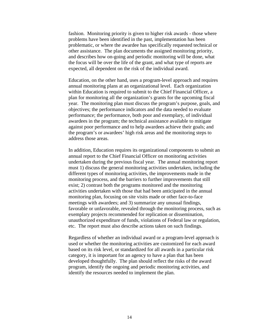fashion. Monitoring priority is given to higher risk awards - those where problems have been identified in the past, implementation has been problematic, or where the awardee has specifically requested technical or other assistance. The plan documents the assigned monitoring priority, and describes how on-going and periodic monitoring will be done, what the focus will be over the life of the grant, and what type of reports are expected, all dependent on the risk of the individual award.

Education, on the other hand, uses a program-level approach and requires annual monitoring plans at an organizational level. Each organization within Education is required to submit to the Chief Financial Officer, a plan for monitoring all the organization's grants for the upcoming fiscal year. The monitoring plan must discuss the program's purpose, goals, and objectives; the performance indicators and the data needed to evaluate performance; the performance, both poor and exemplary, of individual awardees in the program; the technical assistance available to mitigate against poor performance and to help awardees achieve their goals; and the program's or awardees' high risk areas and the monitoring steps to address those areas.

In addition, Education requires its organizational components to submit an annual report to the Chief Financial Officer on monitoring activities undertaken during the previous fiscal year. The annual monitoring report must 1) discuss the general monitoring activities undertaken, including the different types of monitoring activities, the improvements made in the monitoring process, and the barriers to further improvements that still exist; 2) contrast both the programs monitored and the monitoring activities undertaken with those that had been anticipated in the annual monitoring plan, focusing on site visits made or other face-to-face meetings with awardees; and 3) summarize any unusual findings, favorable or unfavorable, revealed through the monitoring process, such as exemplary projects recommended for replication or dissemination, unauthorized expenditure of funds, violations of Federal law or regulation, etc. The report must also describe actions taken on such findings.

Regardless of whether an individual award or a program-level approach is used or whether the monitoring activities are customized for each award based on its risk level, or standardized for all awards in a particular risk category, it is important for an agency to have a plan that has been developed thoughtfully. The plan should reflect the risks of the award program, identify the ongoing and periodic monitoring activities, and identify the resources needed to implement the plan.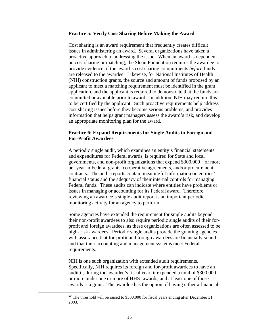#### **Practice 5: Verify Cost Sharing Before Making the Award**

Cost sharing is an award requirement that frequently creates difficult issues in administering an award. Several organizations have taken a proactive approach to addressing the issue. When an award is dependent on cost sharing or matching, the Sloan Foundation requires the awardee to provide evidence of the award's cost sharing commitments *before* funds are released to the awardee. Likewise, for National Institutes of Health (NIH) construction grants, the source and amount of funds proposed by an applicant to meet a matching requirement must be identified in the grant application, and the applicant is required to demonstrate that the funds are committed or available prior to award. In addition, NIH may require this to be certified by the applicant. Such proactive requirements help address cost sharing issues before they become serious problems, and provides information that helps grant managers assess the award's risk, and develop an appropriate monitoring plan for the award.

### **Practice 6: Expand Requirements for Single Audits to Foreign and For-Profit Awardees**

A periodic single audit, which examines an entity's financial statements and expenditures for Federal awards, is required for State and local governments, and non-profit organizations that expend  $$300,000^{10}$  or more per year in Federal grants, cooperative agreements, and/or procurement contracts. The audit reports contain meaningful information on entities' financial status and the adequacy of their internal controls for managing Federal funds. These audits can indicate where entities have problems or issues in managing or accounting for its Federal award. Therefore, reviewing an awardee's single audit report is an important periodic monitoring activity for an agency to perform.

Some agencies have extended the requirement for single audits beyond their non-profit awardees to also require periodic single audits of their forprofit and foreign awardees, as these organizations are often assessed to be high- risk awardees. Periodic single audits provide the granting agencies with assurance that for-profit and foreign awardees are financially sound and that their accounting and management systems meet Federal requirements.

NIH is one such organization with extended audit requirements. Specifically, NIH requires its foreign and for-profit awardees to have an audit if, during the awardee's fiscal year, it expended a total of \$300,000 or more under one or more of HHS' awards, and at least one of those awards is a grant. The awardee has the option of having either a financial-

<sup>&</sup>lt;sup>10</sup> The threshold will be raised to \$500,000 for fiscal years ending after December 31, 2003.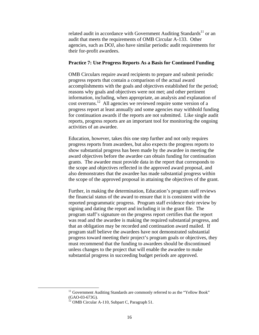related audit in accordance with Government Auditing Standards $^{11}$  or an audit that meets the requirements of OMB Circular A-133. Other agencies, such as DOJ, also have similar periodic audit requirements for their for-profit awardees.

### **Practice 7: Use Progress Reports As a Basis for Continued Funding**

OMB Circulars require award recipients to prepare and submit periodic progress reports that contain a comparison of the actual award accomplishments with the goals and objectives established for the period; reasons why goals and objectives were not met; and other pertinent information, including, when appropriate, an analysis and explanation of cost overruns.12 All agencies we reviewed require some version of a progress report at least annually and some agencies may withhold funding for continuation awards if the reports are not submitted. Like single audit reports, progress reports are an important tool for monitoring the ongoing activities of an awardee.

Education, however, takes this one step further and not only requires progress reports from awardees, but also expects the progress reports to show substantial progress has been made by the awardee in meeting the award objectives before the awardee can obtain funding for continuation grants. The awardee must provide data in the report that corresponds to the scope and objectives reflected in the approved award proposal, and also demonstrates that the awardee has made substantial progress within the scope of the approved proposal in attaining the objectives of the grant.

Further, in making the determination, Education's program staff reviews the financial status of the award to ensure that it is consistent with the reported programmatic progress. Program staff evidence their review by signing and dating the report and including it in the grant file. The program staff's signature on the progress report certifies that the report was read and the awardee is making the required substantial progress, and that an obligation may be recorded and continuation award mailed. If program staff believe the awardees have not demonstrated substantial progress toward meeting their project's program goals or objectives, they must recommend that the funding to awardees should be discontinued unless changes to the project that will enable the awardee to make substantial progress in succeeding budget periods are approved.

<sup>&</sup>lt;sup>11</sup> Government Auditing Standards are commonly referred to as the "Yellow Book" (GAO-03-673G).

 $12$  OMB Circular A-110, Subpart C, Paragraph 51.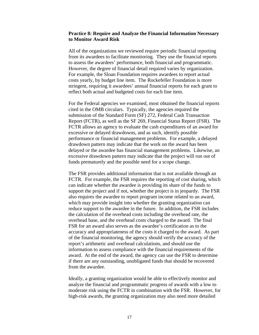### **Practice 8: Require and Analyze the Financial Information Necessary to Monitor Award Risk**

All of the organizations we reviewed require periodic financial reporting from its awardees to facilitate monitoring. They use the financial reports to assess the awardees' performance, both financial and programmatic. However, the degree of financial detail required varies by organization. For example, the Sloan Foundation requires awardees to report actual costs yearly, by budget line item. The Rockefeller Foundation is more stringent, requiring it awardees' annual financial reports for each grant to reflect both actual and budgeted costs for each line item.

For the Federal agencies we examined, most obtained the financial reports cited in the OMB circulars. Typically, the agencies required the submission of the Standard Form (SF) 272, Federal Cash Transaction Report (FCTR), as well as the SF 269, Financial Status Report (FSR). The FCTR allows an agency to evaluate the cash expenditures of an award for excessive or delayed drawdowns, and as such, identify possible performance or financial management problems. For example, a delayed drawdown pattern may indicate that the work on the award has been delayed or the awardee has financial management problems. Likewise, an excessive drawdown pattern may indicate that the project will run out of funds prematurely and the possible need for a scope change.

The FSR provides additional information that is not available through an FCTR. For example, the FSR requires the reporting of cost sharing, which can indicate whether the awardee is providing its share of the funds to support the project and if not, whether the project is in jeopardy. The FSR also requires the awardee to report program income related to an award, which may provide insight into whether the granting organization can reduce support to the awardee in the future. In addition, the FSR includes the calculation of the overhead costs including the overhead rate, the overhead base, and the overhead costs charged to the award. The final FSR for an award also serves as the awardee's certification as to the accuracy and appropriateness of the costs it charged to the award. As part of the financial monitoring, the agency should verify the accuracy of the report's arithmetic and overhead calculations, and should use the information to assess compliance with the financial requirements of the award. At the end of the award, the agency can use the FSR to determine if there are any outstanding, unobligated funds that should be recovered from the awardee.

Ideally, a granting organization would be able to effectively monitor and analyze the financial and programmatic progress of awards with a low to moderate risk using the FCTR in combination with the FSR. However, for high-risk awards, the granting organization may also need more detailed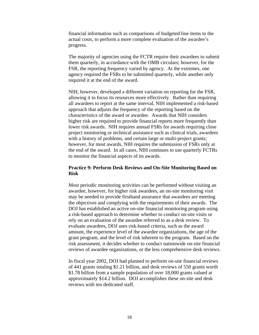financial information such as comparisons of budgeted line items to the actual costs, to perform a more complete evaluation of the awardee's progress.

The majority of agencies using the FCTR require their awardees to submit them quarterly, in accordance with the OMB circulars; however, for the FSR, the reporting frequency varied by agency. At the extremes, one agency required the FSRs to be submitted quarterly, while another only required it at the end of the award.

NIH, however, developed a different variation on reporting for the FSR, allowing it to focus its resources more effectively. Rather than requiring all awardees to report at the same interval, NIH implemented a risk-based approach that adjusts the frequency of the reporting based on the characteristics of the award or awardee. Awards that NIH considers higher risk are required to provide financial reports more frequently than lower risk awards. NIH requires annual FSRs for awards requiring close project monitoring or technical assistance such as clinical trials, awardees with a history of problems, and certain large or multi-project grants; however, for most awards, NIH requires the submission of FSRs only at the end of the award. In all cases, NIH continues to use quarterly FCTRs to monitor the financial aspects of its awards.

### **Practice 9: Perform Desk Reviews and On-Site Monitoring Based on Risk**

Most periodic monitoring activities can be performed without visiting an awardee, however, for higher risk awardees, an on-site monitoring visit may be needed to provide firsthand assurance that awardees are meeting the objectives and complying with the requirements of their awards. The DOJ has established an active on-site financial monitoring program using a risk-based approach to determine whether to conduct on-site visits or rely on an evaluation of the awardee referred to as a desk review. To evaluate awardees, DOJ uses risk-based criteria, such as the award amount, the experience level of the awardee organizations, the age of the grant program, and the level of risk inherent to the program. Based on the risk assessment, it decides whether to conduct nationwide on-site financial reviews of awardee organizations, or the less comprehensive desk reviews.

In fiscal year 2002, DOJ had planned to perform on-site financial reviews of 441 grants totaling \$1.21 billion, and desk reviews of 550 grants worth \$1.78 billion from a sample population of over 18,000 grants valued at approximately \$14.2 billion. DOJ accomplishes these on-site and desk reviews with ten dedicated staff.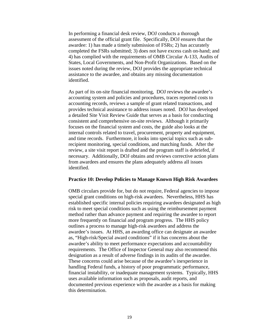In performing a financial desk review, DOJ conducts a thorough assessment of the official grant file. Specifically, DOJ ensures that the awardee: 1) has made a timely submission of FSRs; 2) has accurately completed the FSRs submitted; 3) does not have excess cash on-hand; and 4) has complied with the requirements of OMB Circular A-133, Audits of States, Local Governments, and Non-Profit Organizations. Based on the issues noted during the review, DOJ provides the appropriate technical assistance to the awardee, and obtains any missing documentation identified.

As part of its on-site financial monitoring, DOJ reviews the awardee's accounting system and policies and procedures, traces reported costs to accounting records, reviews a sample of grant related transactions, and provides technical assistance to address issues noted. DOJ has developed a detailed Site Visit Review Guide that serves as a basis for conducting consistent and comprehensive on-site reviews. Although it primarily focuses on the financial system and costs, the guide also looks at the internal controls related to travel, procurement, property and equipment, and time records. Furthermore, it looks into special topics such as subrecipient monitoring, special conditions, and matching funds. After the review, a site visit report is drafted and the program staff is debriefed, if necessary. Additionally, DOJ obtains and reviews corrective action plans from awardees and ensures the plans adequately address all issues identified.

#### **Practice 10: Develop Policies to Manage Known High Risk Awardees**

OMB circulars provide for, but do not require, Federal agencies to impose special grant conditions on high-risk awardees. Nevertheless, HHS has established specific internal policies requiring awardees designated as high risk to meet special conditions such as using the reimbursement payment method rather than advance payment and requiring the awardee to report more frequently on financial and program progress. The HHS policy outlines a process to manage high-risk awardees and address the awardee's issues. At HHS, an awarding office can designate an awardee as, "High-risk/Special award conditions" if it has concerns about the awardee's ability to meet performance expectations and accountability requirements. The Office of Inspector General may also recommend this designation as a result of adverse findings in its audits of the awardee. These concerns could arise because of the awardee's inexperience in handling Federal funds, a history of poor programmatic performance, financial instability, or inadequate management systems. Typically, HHS uses available information such as proposals, audit reports, and documented previous experience with the awardee as a basis for making this determination.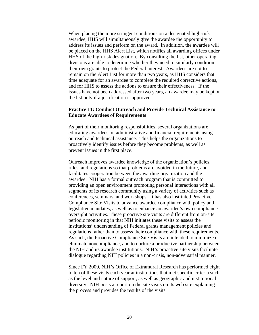When placing the more stringent conditions on a designated high-risk awardee, HHS will simultaneously give the awardee the opportunity to address its issues and perform on the award. In addition, the awardee will be placed on the HHS Alert List, which notifies all awarding offices under HHS of the high-risk designation. By consulting the list, other operating divisions are able to determine whether they need to similarly condition their own grants to protect the Federal interest. Awardees are not to remain on the Alert List for more than two years, as HHS considers that time adequate for an awardee to complete the required corrective actions, and for HHS to assess the actions to ensure their effectiveness. If the issues have not been addressed after two years, an awardee may be kept on the list only if a justification is approved.

### **Practice 11: Conduct Outreach and Provide Technical Assistance to Educate Awardees of Requirements**

As part of their monitoring responsibilities, several organizations are educating awardees on administrative and financial requirements using outreach and technical assistance. This helps the organizations to proactively identify issues before they become problems, as well as prevent issues in the first place.

Outreach improves awardee knowledge of the organization's policies, rules, and regulations so that problems are avoided in the future, and facilitates cooperation between the awarding organization and the awardee. NIH has a formal outreach program that is committed to providing an open environment promoting personal interactions with all segments of its research community using a variety of activities such as conferences, seminars, and workshops. It has also instituted Proactive Compliance Site Visits to advance awardee compliance with policy and legislative mandates, as well as to enhance an awardee's own compliance oversight activities. These proactive site visits are different from on-site periodic monitoring in that NIH initiates these visits to assess the institutions' understanding of Federal grants management policies and regulations rather than to assess their compliance with these requirements. As such, the Proactive Compliance Site Visits are intended to minimize or eliminate noncompliance, and to nurture a productive partnership between the NIH and its awardee institutions. NIH's proactive site visits facilitate dialogue regarding NIH policies in a non-crisis, non-adversarial manner.

Since FY 2000, NIH's Office of Extramural Research has performed eight to ten of these visits each year at institutions that met specific criteria such as the level and nature of support, as well as geographic and institutional diversity. NIH posts a report on the site visits on its web site explaining the process and provides the results of the visits.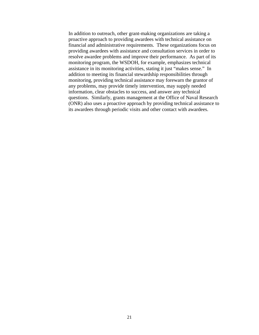In addition to outreach, other grant-making organizations are taking a proactive approach to providing awardees with technical assistance on financial and administrative requirements. These organizations focus on providing awardees with assistance and consultation services in order to resolve awardee problems and improve their performance. As part of its monitoring program, the WSDOH, for example, emphasizes technical assistance in its monitoring activities, stating it just "makes sense." In addition to meeting its financial stewardship responsibilities through monitoring, providing technical assistance may forewarn the grantor of any problems, may provide timely intervention, may supply needed information, clear obstacles to success, and answer any technical questions. Similarly, grants management at the Office of Naval Research (ONR) also uses a proactive approach by providing technical assistance to its awardees through periodic visits and other contact with awardees.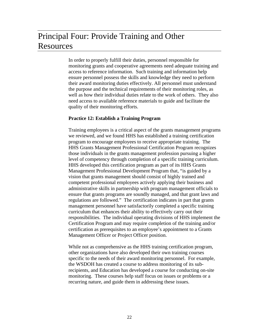## Principal Four: Provide Training and Other Resources

In order to properly fulfill their duties, personnel responsible for monitoring grants and cooperative agreements need adequate training and access to reference information. Such training and information help ensure personnel possess the skills and knowledge they need to perform their award monitoring duties effectively. All personnel must understand the purpose and the technical requirements of their monitoring roles, as well as how their individual duties relate to the work of others. They also need access to available reference materials to guide and facilitate the quality of their monitoring efforts.

### **Practice 12: Establish a Training Program**

Training employees is a critical aspect of the grants management programs we reviewed, and we found HHS has established a training certification program to encourage employees to receive appropriate training. The HHS Grants Management Professional Certification Program recognizes those individuals in the grants management profession pursuing a higher level of competency through completion of a specific training curriculum. HHS developed this certification program as part of its HHS Grants Management Professional Development Program that, "is guided by a vision that grants management should consist of highly trained and competent professional employees actively applying their business and administrative skills in partnership with program management officials to ensure that grants programs are soundly managed, and that grant laws and regulations are followed." The certification indicates in part that grants management personnel have satisfactorily completed a specific training curriculum that enhances their ability to effectively carry out their responsibilities. The individual operating divisions of HHS implement the Certification Program and may require completion of the training and/or certification as prerequisites to an employee's appointment to a Grants Management Officer or Project Officer position.

While not as comprehensive as the HHS training certification program, other organizations have also developed their own training courses specific to the needs of their award monitoring personnel. For example, the WSDOH has created a course to address monitoring of its subrecipients, and Education has developed a course for conducting on-site monitoring. These courses help staff focus on issues or problems or a recurring nature, and guide them in addressing these issues.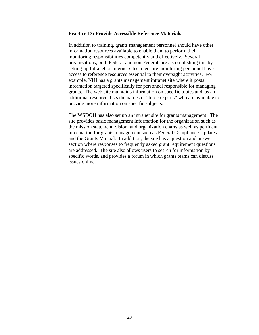#### **Practice 13: Provide Accessible Reference Materials**

In addition to training, grants management personnel should have other information resources available to enable them to perform their monitoring responsibilities competently and effectively. Several organizations, both Federal and non-Federal, are accomplishing this by setting up Intranet or Internet sites to ensure monitoring personnel have access to reference resources essential to their oversight activities. For example, NIH has a grants management intranet site where it posts information targeted specifically for personnel responsible for managing grants. The web site maintains information on specific topics and, as an additional resource, lists the names of "topic experts" who are available to provide more information on specific subjects.

The WSDOH has also set up an intranet site for grants management. The site provides basic management information for the organization such as the mission statement, vision, and organization charts as well as pertinent information for grants management such as Federal Compliance Updates and the Grants Manual. In addition, the site has a question and answer section where responses to frequently asked grant requirement questions are addressed. The site also allows users to search for information by specific words, and provides a forum in which grants teams can discuss issues online.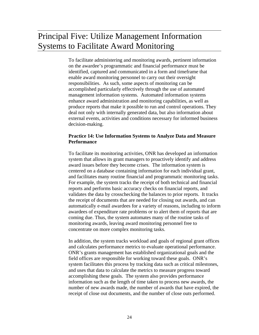## Principal Five: Utilize Management Information Systems to Facilitate Award Monitoring

To facilitate administering and monitoring awards, pertinent information on the awardee's programmatic and financial performance must be identified, captured and communicated in a form and timeframe that enable award monitoring personnel to carry out their oversight responsibilities. As such, some aspects of monitoring can be accomplished particularly effectively through the use of automated management information systems. Automated information systems enhance award administration and monitoring capabilities, as well as produce reports that make it possible to run and control operations. They deal not only with internally generated data, but also information about external events, activities and conditions necessary for informed business decision-making.

### **Practice 14: Use Information Systems to Analyze Data and Measure Performance**

To facilitate its monitoring activities, ONR has developed an information system that allows its grant managers to proactively identify and address award issues before they become crises. The information system is centered on a database containing information for each individual grant, and facilitates many routine financial and programmatic monitoring tasks. For example, the system tracks the receipt of both technical and financial reports and performs basic accuracy checks on financial reports, and validates the data by crosschecking the balances to prior reports. It tracks the receipt of documents that are needed for closing out awards, and can automatically e-mail awardees for a variety of reasons, including to inform awardees of expenditure rate problems or to alert them of reports that are coming due. Thus, the system automates many of the routine tasks of monitoring awards, leaving award monitoring personnel free to concentrate on more complex monitoring tasks.

In addition, the system tracks workload and goals of regional grant offices and calculates performance metrics to evaluate operational performance. ONR's grants management has established organizational goals and the field offices are responsible for working toward these goals. ONR's system facilitates this process by tracking data such as critical milestones, and uses that data to calculate the metrics to measure progress toward accomplishing these goals. The system also provides performance information such as the length of time taken to process new awards, the number of new awards made, the number of awards that have expired, the receipt of close out documents, and the number of close outs performed.